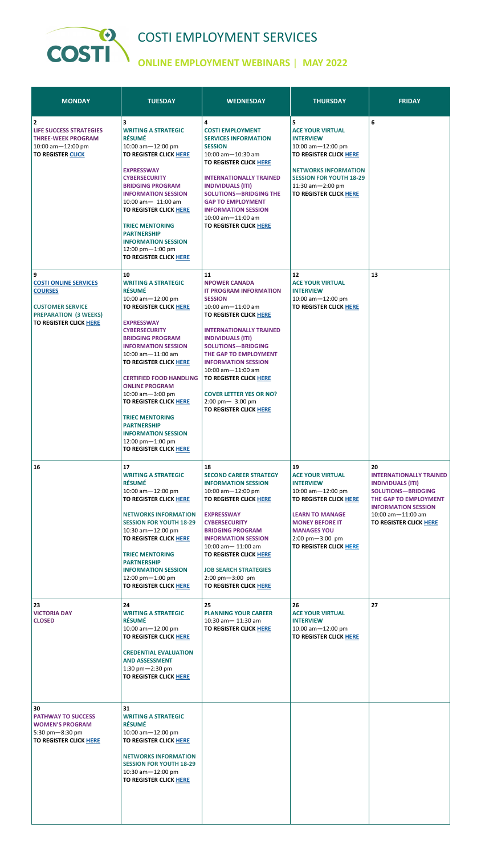

## COSTI EMPLOYMENT SERVICES

## **ONLINE EMPLOYMENT WEBINARS** | **MAY 2022**

| <b>MONDAY</b>                                                                                                                                   | <b>TUESDAY</b>                                                                                                                                                                                                                                                                                                                                                                                                                                                                                                                           | <b>WEDNESDAY</b>                                                                                                                                                                                                                                                                                                                                                                                                                      | <b>THURSDAY</b>                                                                                                                                                                                                                | <b>FRIDAY</b>                                                                                                                                                                                                   |
|-------------------------------------------------------------------------------------------------------------------------------------------------|------------------------------------------------------------------------------------------------------------------------------------------------------------------------------------------------------------------------------------------------------------------------------------------------------------------------------------------------------------------------------------------------------------------------------------------------------------------------------------------------------------------------------------------|---------------------------------------------------------------------------------------------------------------------------------------------------------------------------------------------------------------------------------------------------------------------------------------------------------------------------------------------------------------------------------------------------------------------------------------|--------------------------------------------------------------------------------------------------------------------------------------------------------------------------------------------------------------------------------|-----------------------------------------------------------------------------------------------------------------------------------------------------------------------------------------------------------------|
| 2<br><b>LIFE SUCCESS STRATEGIES</b><br><b>THREE-WEEK PROGRAM</b><br>10:00 am $-12:00$ pm<br><b>TO REGISTER CLICK</b>                            | 3<br><b>WRITING A STRATEGIC</b><br><b>RÉSUMÉ</b><br>10:00 am-12:00 pm<br>TO REGISTER CLICK HERE<br><b>EXPRESSWAY</b><br><b>CYBERSECURITY</b><br><b>BRIDGING PROGRAM</b><br><b>INFORMATION SESSION</b><br>10:00 am- 11:00 am<br>TO REGISTER CLICK HERE<br><b>TRIEC MENTORING</b><br><b>PARTNERSHIP</b><br><b>INFORMATION SESSION</b><br>12:00 pm-1:00 pm<br><b>TO REGISTER CLICK HERE</b>                                                                                                                                                 | 4<br><b>COSTI EMPLOYMENT</b><br><b>SERVICES INFORMATION</b><br><b>SESSION</b><br>$10:00$ am $-10:30$ am<br>TO REGISTER CLICK HERE<br><b>INTERNATIONALLY TRAINED</b><br><b>INDIVIDUALS (ITI)</b><br><b>SOLUTIONS-BRIDGING THE</b><br><b>GAP TO EMPLOYMENT</b><br><b>INFORMATION SESSION</b><br>$10:00$ am $-11:00$ am<br><b>TO REGISTER CLICK HERE</b>                                                                                 | 5<br><b>ACE YOUR VIRTUAL</b><br><b>INTERVIEW</b><br>10:00 am $-12:00$ pm<br>TO REGISTER CLICK HERE<br><b>NETWORKS INFORMATION</b><br><b>SESSION FOR YOUTH 18-29</b><br>11:30 $am - 2:00$ pm<br><b>TO REGISTER CLICK HERE</b>   | 6                                                                                                                                                                                                               |
| 9<br><b>COSTI ONLINE SERVICES</b><br><b>COURSES</b><br><b>CUSTOMER SERVICE</b><br><b>PREPARATION (3 WEEKS)</b><br><b>TO REGISTER CLICK HERE</b> | 10<br><b>WRITING A STRATEGIC</b><br><b>RÉSUMÉ</b><br>10:00 am $-12:00$ pm<br>TO REGISTER CLICK HERE<br><b>EXPRESSWAY</b><br><b>CYBERSECURITY</b><br><b>BRIDGING PROGRAM</b><br><b>INFORMATION SESSION</b><br>$10:00$ am $-11:00$ am<br>TO REGISTER CLICK HERE<br><b>CERTIFIED FOOD HANDLING</b><br><b>ONLINE PROGRAM</b><br>10:00 $am - 3:00$ pm<br><b>TO REGISTER CLICK HERE</b><br><b>TRIEC MENTORING</b><br><b>PARTNERSHIP</b><br><b>INFORMATION SESSION</b><br>$12:00 \text{ pm} - 1:00 \text{ pm}$<br><b>TO REGISTER CLICK HERE</b> | 11<br><b>NPOWER CANADA</b><br><b>IT PROGRAM INFORMATION</b><br><b>SESSION</b><br>10:00 am-11:00 am<br>TO REGISTER CLICK HERE<br><b>INTERNATIONALLY TRAINED</b><br><b>INDIVIDUALS (ITI)</b><br><b>SOLUTIONS-BRIDGING</b><br>THE GAP TO EMPLOYMENT<br><b>INFORMATION SESSION</b><br>$10:00$ am $-11:00$ am<br>TO REGISTER CLICK HERE<br><b>COVER LETTER YES OR NO?</b><br>$2:00 \text{ pm} - 3:00 \text{ pm}$<br>TO REGISTER CLICK HERE | 12<br><b>ACE YOUR VIRTUAL</b><br><b>INTERVIEW</b><br>$10:00$ am $-12:00$ pm<br>TO REGISTER CLICK HERE                                                                                                                          | 13                                                                                                                                                                                                              |
| 16                                                                                                                                              | 17<br><b>WRITING A STRATEGIC</b><br><b>RÉSUMÉ</b><br>10:00 am-12:00 pm<br>TO REGISTER CLICK HERE<br><b>NETWORKS INFORMATION</b><br><b>SESSION FOR YOUTH 18-29</b><br>10:30 am $-12:00$ pm<br><b>TO REGISTER CLICK HERE</b><br><b>TRIEC MENTORING</b><br><b>PARTNERSHIP</b><br><b>INFORMATION SESSION</b><br>12:00 pm-1:00 pm<br><b>TO REGISTER CLICK HERE</b>                                                                                                                                                                            | 18<br><b>SECOND CAREER STRATEGY</b><br><b>INFORMATION SESSION</b><br>10:00 am-12:00 pm<br>TO REGISTER CLICK HERE<br><b>EXPRESSWAY</b><br><b>CYBERSECURITY</b><br><b>BRIDGING PROGRAM</b><br><b>INFORMATION SESSION</b><br>$10:00$ am $- 11:00$ am<br><b>TO REGISTER CLICK HERE</b><br><b>JOB SEARCH STRATEGIES</b><br>$2:00 \text{ pm} - 3:00 \text{ pm}$<br><b>TO REGISTER CLICK HERE</b>                                            | 19<br><b>ACE YOUR VIRTUAL</b><br><b>INTERVIEW</b><br>10:00 am-12:00 pm<br>TO REGISTER CLICK HERE<br><b>LEARN TO MANAGE</b><br><b>MONEY BEFORE IT</b><br><b>MANAGES YOU</b><br>2:00 pm-3:00 pm<br><b>TO REGISTER CLICK HERE</b> | 20<br><b>INTERNATIONALLY TRAINED</b><br><b>INDIVIDUALS (ITI)</b><br><b>SOLUTIONS-BRIDGING</b><br>THE GAP TO EMPLOYMENT<br><b>INFORMATION SESSION</b><br>$10:00$ am $-11:00$ am<br><b>TO REGISTER CLICK HERE</b> |
| 23<br><b>VICTORIA DAY</b><br><b>CLOSED</b>                                                                                                      | 24<br><b>WRITING A STRATEGIC</b><br><b>RÉSUMÉ</b><br>10:00 am $-12:00$ pm<br>TO REGISTER CLICK HERE<br><b>CREDENTIAL EVALUATION</b><br><b>AND ASSESSMENT</b><br>1:30 $pm-2:30$ pm<br><b>TO REGISTER CLICK HERE</b>                                                                                                                                                                                                                                                                                                                       | 25<br><b>PLANNING YOUR CAREER</b><br>$10:30$ am $- 11:30$ am<br><b>TO REGISTER CLICK HERE</b>                                                                                                                                                                                                                                                                                                                                         | 26<br><b>ACE YOUR VIRTUAL</b><br><b>INTERVIEW</b><br>10:00 am-12:00 pm<br><b>TO REGISTER CLICK HERE</b>                                                                                                                        | 27                                                                                                                                                                                                              |
| 30<br><b>PATHWAY TO SUCCESS</b><br><b>WOMEN'S PROGRAM</b><br>5:30 pm-8:30 pm<br>TO REGISTER CLICK HERE                                          | 31<br><b>WRITING A STRATEGIC</b><br><b>RÉSUMÉ</b><br>10:00 am-12:00 pm<br>TO REGISTER CLICK HERE<br><b>NETWORKS INFORMATION</b><br><b>SESSION FOR YOUTH 18-29</b><br>10:30 am-12:00 pm<br>TO REGISTER CLICK HERE                                                                                                                                                                                                                                                                                                                         |                                                                                                                                                                                                                                                                                                                                                                                                                                       |                                                                                                                                                                                                                                |                                                                                                                                                                                                                 |